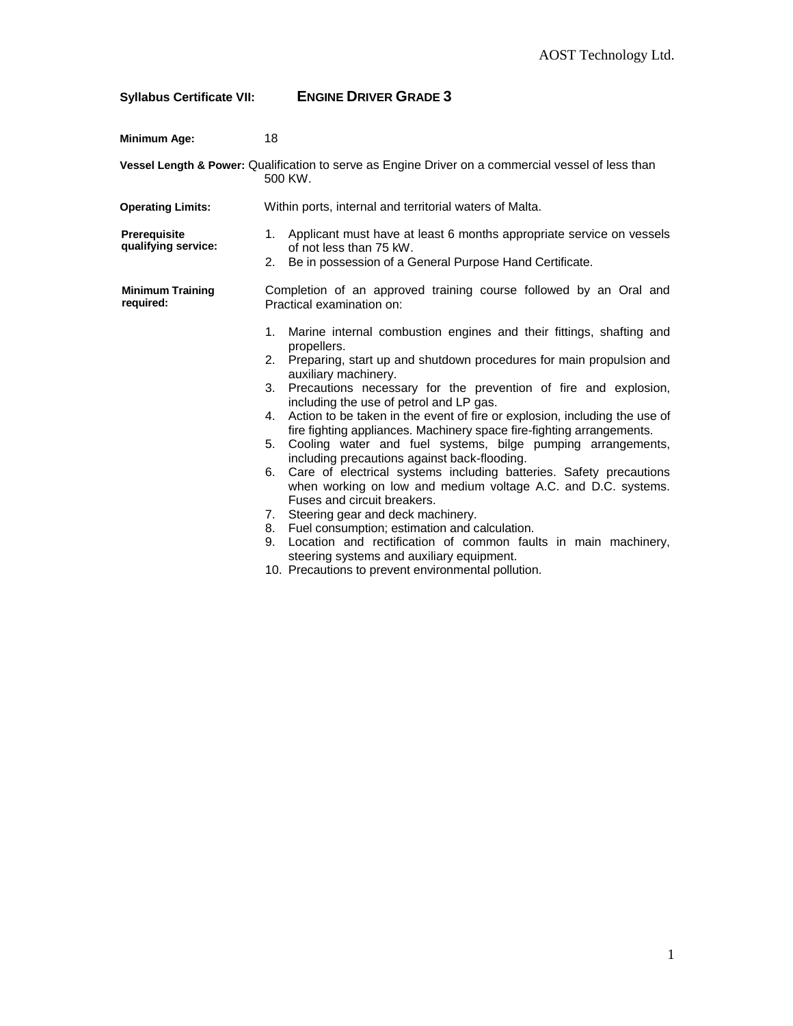## **Syllabus Certificate VII: ENGINE DRIVER GRADE 3**

| <b>Minimum Age:</b>                  | 18                                                                                                                                                                                                                                                                                                                                                                                                                                                                                                                                                                                                                                                                                                                                                                                                                                                                                                                                                                                                                                                |
|--------------------------------------|---------------------------------------------------------------------------------------------------------------------------------------------------------------------------------------------------------------------------------------------------------------------------------------------------------------------------------------------------------------------------------------------------------------------------------------------------------------------------------------------------------------------------------------------------------------------------------------------------------------------------------------------------------------------------------------------------------------------------------------------------------------------------------------------------------------------------------------------------------------------------------------------------------------------------------------------------------------------------------------------------------------------------------------------------|
|                                      | Vessel Length & Power: Qualification to serve as Engine Driver on a commercial vessel of less than<br>500 KW.                                                                                                                                                                                                                                                                                                                                                                                                                                                                                                                                                                                                                                                                                                                                                                                                                                                                                                                                     |
| <b>Operating Limits:</b>             | Within ports, internal and territorial waters of Malta.                                                                                                                                                                                                                                                                                                                                                                                                                                                                                                                                                                                                                                                                                                                                                                                                                                                                                                                                                                                           |
| Prerequisite<br>qualifying service:  | 1. Applicant must have at least 6 months appropriate service on vessels<br>of not less than 75 kW.<br>2. Be in possession of a General Purpose Hand Certificate.                                                                                                                                                                                                                                                                                                                                                                                                                                                                                                                                                                                                                                                                                                                                                                                                                                                                                  |
| <b>Minimum Training</b><br>required: | Completion of an approved training course followed by an Oral and<br>Practical examination on:                                                                                                                                                                                                                                                                                                                                                                                                                                                                                                                                                                                                                                                                                                                                                                                                                                                                                                                                                    |
|                                      | Marine internal combustion engines and their fittings, shafting and<br>1.<br>propellers.<br>Preparing, start up and shutdown procedures for main propulsion and<br>2.<br>auxiliary machinery.<br>3. Precautions necessary for the prevention of fire and explosion,<br>including the use of petrol and LP gas.<br>4. Action to be taken in the event of fire or explosion, including the use of<br>fire fighting appliances. Machinery space fire-fighting arrangements.<br>Cooling water and fuel systems, bilge pumping arrangements,<br>5.<br>including precautions against back-flooding.<br>Care of electrical systems including batteries. Safety precautions<br>6.<br>when working on low and medium voltage A.C. and D.C. systems.<br>Fuses and circuit breakers.<br>7. Steering gear and deck machinery.<br>8. Fuel consumption; estimation and calculation.<br>Location and rectification of common faults in main machinery,<br>9.<br>steering systems and auxiliary equipment.<br>10. Precautions to prevent environmental pollution. |